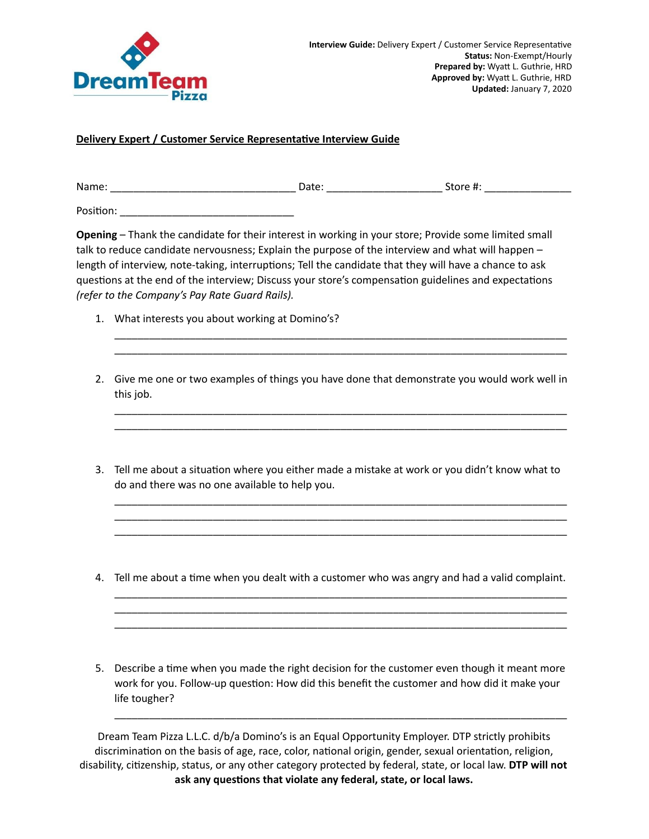

## **Delivery Expert / Customer Service Representative Interview Guide**

Name: \_\_\_\_\_\_\_\_\_\_\_\_\_\_\_\_\_\_\_\_\_\_\_\_\_\_\_\_\_\_\_\_ Date: \_\_\_\_\_\_\_\_\_\_\_\_\_\_\_\_\_\_\_\_ Store #: \_\_\_\_\_\_\_\_\_\_\_\_\_\_\_

Position: **with a contact of the set of the set of the set of the set of the set of the set of the set of the set of the set of the set of the set of the set of the set of the set of the set of the set of the set of the se** 

**Opening** – Thank the candidate for their interest in working in your store; Provide some limited small talk to reduce candidate nervousness; Explain the purpose of the interview and what will happen – length of interview, note-taking, interruptions; Tell the candidate that they will have a chance to ask questions at the end of the interview; Discuss your store's compensation guidelines and expectations *(refer to the Company's Pay Rate Guard Rails).*

- 1. What interests you about working at Domino's?
- 2. Give me one or two examples of things you have done that demonstrate you would work well in this job.

\_\_\_\_\_\_\_\_\_\_\_\_\_\_\_\_\_\_\_\_\_\_\_\_\_\_\_\_\_\_\_\_\_\_\_\_\_\_\_\_\_\_\_\_\_\_\_\_\_\_\_\_\_\_\_\_\_\_\_\_\_\_\_\_\_\_\_\_\_\_\_\_\_\_\_\_\_\_ \_\_\_\_\_\_\_\_\_\_\_\_\_\_\_\_\_\_\_\_\_\_\_\_\_\_\_\_\_\_\_\_\_\_\_\_\_\_\_\_\_\_\_\_\_\_\_\_\_\_\_\_\_\_\_\_\_\_\_\_\_\_\_\_\_\_\_\_\_\_\_\_\_\_\_\_\_\_

\_\_\_\_\_\_\_\_\_\_\_\_\_\_\_\_\_\_\_\_\_\_\_\_\_\_\_\_\_\_\_\_\_\_\_\_\_\_\_\_\_\_\_\_\_\_\_\_\_\_\_\_\_\_\_\_\_\_\_\_\_\_\_\_\_\_\_\_\_\_\_\_\_\_\_\_\_\_ \_\_\_\_\_\_\_\_\_\_\_\_\_\_\_\_\_\_\_\_\_\_\_\_\_\_\_\_\_\_\_\_\_\_\_\_\_\_\_\_\_\_\_\_\_\_\_\_\_\_\_\_\_\_\_\_\_\_\_\_\_\_\_\_\_\_\_\_\_\_\_\_\_\_\_\_\_\_

3. Tell me about a situation where you either made a mistake at work or you didn't know what to do and there was no one available to help you.

\_\_\_\_\_\_\_\_\_\_\_\_\_\_\_\_\_\_\_\_\_\_\_\_\_\_\_\_\_\_\_\_\_\_\_\_\_\_\_\_\_\_\_\_\_\_\_\_\_\_\_\_\_\_\_\_\_\_\_\_\_\_\_\_\_\_\_\_\_\_\_\_\_\_\_\_\_\_ \_\_\_\_\_\_\_\_\_\_\_\_\_\_\_\_\_\_\_\_\_\_\_\_\_\_\_\_\_\_\_\_\_\_\_\_\_\_\_\_\_\_\_\_\_\_\_\_\_\_\_\_\_\_\_\_\_\_\_\_\_\_\_\_\_\_\_\_\_\_\_\_\_\_\_\_\_\_ \_\_\_\_\_\_\_\_\_\_\_\_\_\_\_\_\_\_\_\_\_\_\_\_\_\_\_\_\_\_\_\_\_\_\_\_\_\_\_\_\_\_\_\_\_\_\_\_\_\_\_\_\_\_\_\_\_\_\_\_\_\_\_\_\_\_\_\_\_\_\_\_\_\_\_\_\_\_

4. Tell me about a time when you dealt with a customer who was angry and had a valid complaint.

\_\_\_\_\_\_\_\_\_\_\_\_\_\_\_\_\_\_\_\_\_\_\_\_\_\_\_\_\_\_\_\_\_\_\_\_\_\_\_\_\_\_\_\_\_\_\_\_\_\_\_\_\_\_\_\_\_\_\_\_\_\_\_\_\_\_\_\_\_\_\_\_\_\_\_\_\_\_ \_\_\_\_\_\_\_\_\_\_\_\_\_\_\_\_\_\_\_\_\_\_\_\_\_\_\_\_\_\_\_\_\_\_\_\_\_\_\_\_\_\_\_\_\_\_\_\_\_\_\_\_\_\_\_\_\_\_\_\_\_\_\_\_\_\_\_\_\_\_\_\_\_\_\_\_\_\_ \_\_\_\_\_\_\_\_\_\_\_\_\_\_\_\_\_\_\_\_\_\_\_\_\_\_\_\_\_\_\_\_\_\_\_\_\_\_\_\_\_\_\_\_\_\_\_\_\_\_\_\_\_\_\_\_\_\_\_\_\_\_\_\_\_\_\_\_\_\_\_\_\_\_\_\_\_\_

5. Describe a time when you made the right decision for the customer even though it meant more work for you. Follow-up question: How did this benefit the customer and how did it make your life tougher?

\_\_\_\_\_\_\_\_\_\_\_\_\_\_\_\_\_\_\_\_\_\_\_\_\_\_\_\_\_\_\_\_\_\_\_\_\_\_\_\_\_\_\_\_\_\_\_\_\_\_\_\_\_\_\_\_\_\_\_\_\_\_\_\_\_\_\_\_\_\_\_\_\_\_\_\_\_\_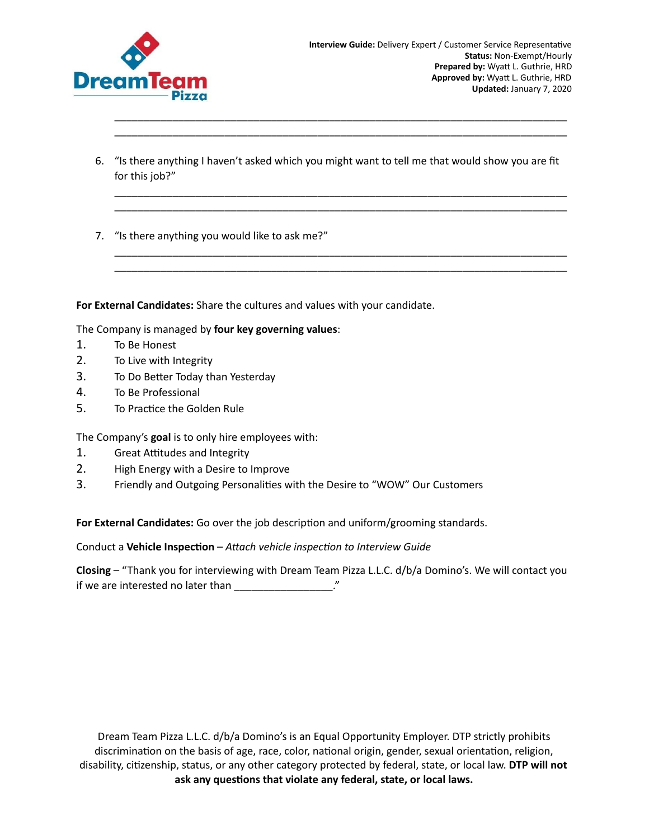

6. "Is there anything I haven't asked which you might want to tell me that would show you are fit for this job?"

\_\_\_\_\_\_\_\_\_\_\_\_\_\_\_\_\_\_\_\_\_\_\_\_\_\_\_\_\_\_\_\_\_\_\_\_\_\_\_\_\_\_\_\_\_\_\_\_\_\_\_\_\_\_\_\_\_\_\_\_\_\_\_\_\_\_\_\_\_\_\_\_\_\_\_\_\_\_ \_\_\_\_\_\_\_\_\_\_\_\_\_\_\_\_\_\_\_\_\_\_\_\_\_\_\_\_\_\_\_\_\_\_\_\_\_\_\_\_\_\_\_\_\_\_\_\_\_\_\_\_\_\_\_\_\_\_\_\_\_\_\_\_\_\_\_\_\_\_\_\_\_\_\_\_\_\_

\_\_\_\_\_\_\_\_\_\_\_\_\_\_\_\_\_\_\_\_\_\_\_\_\_\_\_\_\_\_\_\_\_\_\_\_\_\_\_\_\_\_\_\_\_\_\_\_\_\_\_\_\_\_\_\_\_\_\_\_\_\_\_\_\_\_\_\_\_\_\_\_\_\_\_\_\_\_ \_\_\_\_\_\_\_\_\_\_\_\_\_\_\_\_\_\_\_\_\_\_\_\_\_\_\_\_\_\_\_\_\_\_\_\_\_\_\_\_\_\_\_\_\_\_\_\_\_\_\_\_\_\_\_\_\_\_\_\_\_\_\_\_\_\_\_\_\_\_\_\_\_\_\_\_\_\_

\_\_\_\_\_\_\_\_\_\_\_\_\_\_\_\_\_\_\_\_\_\_\_\_\_\_\_\_\_\_\_\_\_\_\_\_\_\_\_\_\_\_\_\_\_\_\_\_\_\_\_\_\_\_\_\_\_\_\_\_\_\_\_\_\_\_\_\_\_\_\_\_\_\_\_\_\_\_ \_\_\_\_\_\_\_\_\_\_\_\_\_\_\_\_\_\_\_\_\_\_\_\_\_\_\_\_\_\_\_\_\_\_\_\_\_\_\_\_\_\_\_\_\_\_\_\_\_\_\_\_\_\_\_\_\_\_\_\_\_\_\_\_\_\_\_\_\_\_\_\_\_\_\_\_\_\_

7. "Is there anything you would like to ask me?"

**For External Candidates:** Share the cultures and values with your candidate.

The Company is managed by **four key governing values**:

- 1. To Be Honest
- 2. To Live with Integrity
- 3. To Do Better Today than Yesterday
- 4. To Be Professional
- 5. To Practice the Golden Rule

The Company's **goal** is to only hire employees with:

- 1. Great Attitudes and Integrity
- 2. High Energy with a Desire to Improve
- 3. Friendly and Outgoing Personalities with the Desire to "WOW" Our Customers

For **External Candidates:** Go over the job description and uniform/grooming standards.

Conduct a Vehicle Inspection – Attach vehicle inspection to Interview Guide

**Closing** – "Thank you for interviewing with Dream Team Pizza L.L.C. d/b/a Domino's. We will contact you if we are interested no later than  $\frac{1}{2}$   $\frac{1}{2}$   $\frac{1}{2}$   $\frac{1}{2}$   $\frac{1}{2}$   $\frac{1}{2}$   $\frac{1}{2}$   $\frac{1}{2}$   $\frac{1}{2}$   $\frac{1}{2}$   $\frac{1}{2}$   $\frac{1}{2}$   $\frac{1}{2}$   $\frac{1}{2}$   $\frac{1}{2}$   $\frac{1}{2}$   $\frac{1}{2}$   $\frac{1}{2}$   $\frac{1}{$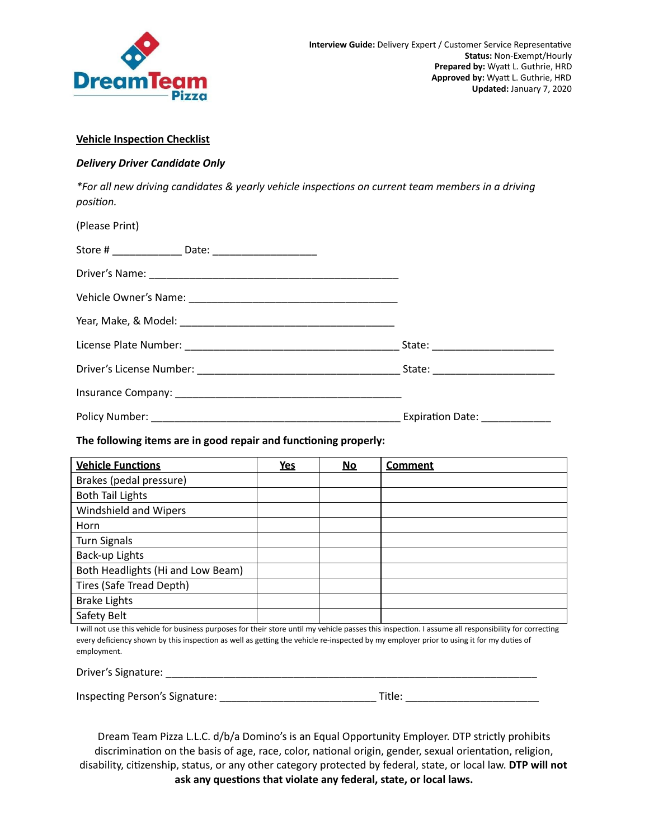

## **Vehicle Inspection Checklist**

## *Delivery Driver Candidate Only*

*\*For all new driving candidates & yearly vehicle inspecons on current team members in a driving* position.

| (Please Print)                                                   |            |    |                |
|------------------------------------------------------------------|------------|----|----------------|
|                                                                  |            |    |                |
|                                                                  |            |    |                |
|                                                                  |            |    |                |
|                                                                  |            |    |                |
|                                                                  |            |    |                |
|                                                                  |            |    |                |
|                                                                  |            |    |                |
|                                                                  |            |    |                |
| The following items are in good repair and functioning properly: |            |    |                |
| <b>Vehicle Functions</b>                                         | <u>Yes</u> | No | <b>Comment</b> |
| Brakes (pedal pressure)                                          |            |    |                |

Safety Belt I will not use this vehicle for business purposes for their store until my vehicle passes this inspection. I assume all responsibility for correcting every deficiency shown by this inspection as well as getting the vehicle re-inspected by my employer prior to using it for my duties of employment.

| Driver's Signature: |  |
|---------------------|--|
|                     |  |

Inspecng Person's Signature: \_\_\_\_\_\_\_\_\_\_\_\_\_\_\_\_\_\_\_\_\_\_\_\_\_\_\_ Title: \_\_\_\_\_\_\_\_\_\_\_\_\_\_\_\_\_\_\_\_\_\_\_

Both Headlights (Hi and Low Beam)

Both Tail Lights

Turn Signals Back-up Lights

Brake Lights

Horn

Windshield and Wipers

Tires (Safe Tread Depth)

| ۰. |
|----|
|    |